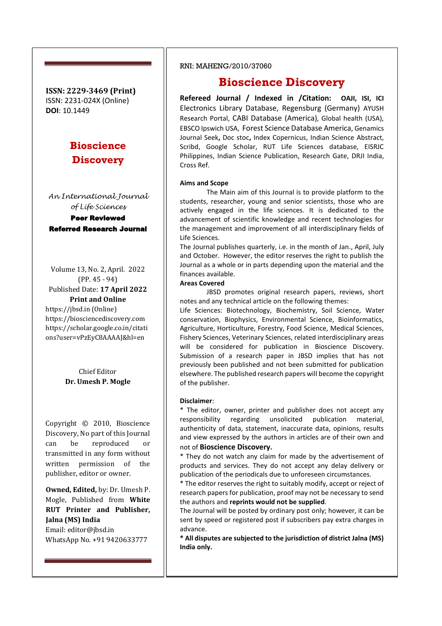**ISSN: 2229-3469 (Print)** ISSN: 2231-024X (Online) **DOI**: 10.1449

# **Bioscience Discovery**

*An International Journal of Life Sciences* Peer Reviewed Referred Research Journal

Volume 13, No. 2, April. 2022 (PP. 45 - 94) Published Date: **17 April 2022 Print and Online** https://jbsd.in (Online) https://biosciencediscovery.com https://scholar.google.co.in/citati

> Chief Editor **Dr. Umesh P. Mogle**

ons?user=vPzEyC8AAAAJ&hl=en

Copyright © 2010, Bioscience Discovery, No part of this Journal can be reproduced or transmitted in any form without written permission of the publisher, editor or owner.

**Owned, Edited,** by: Dr. Umesh P. Mogle, Published from **White RUT Printer and Publisher, Jalna (MS) India** Email: editor@jbsd.in WhatsApp No. +91 9420633777

### RNI: MAHENG/2010/37060

# **Bioscience Discovery**

**Refereed Journal / Indexed in /Citation: OAJI, ISI, ICI**  Electronics Library Database, Regensburg (Germany) AYUSH Research Portal, CABI Database (America), Global health (USA), EBSCO Ipswich USA, Forest Science Database America, Genamics Journal Seek**,** Doc stoc**,** Index Copernicus, Indian Science Abstract, Scribd, Google Scholar, RUT Life Sciences database, EISRJC Philippines, Indian Science Publication, Research Gate, DRJI India, Cross Ref.

#### **Aims and Scope**

The Main aim of this Journal is to provide platform to the students, researcher, young and senior scientists, those who are actively engaged in the life sciences. It is dedicated to the advancement of scientific knowledge and recent technologies for the management and improvement of all interdisciplinary fields of Life Sciences.

The Journal publishes quarterly, i.e. in the month of Jan., April, July and October. However, the editor reserves the right to publish the Journal as a whole or in parts depending upon the material and the finances available.

#### **Areas Covered**

JBSD promotes original research papers, reviews, short notes and any technical article on the following themes:

Life Sciences: Biotechnology, Biochemistry, Soil Science, Water conservation, Biophysics, Environmental Science, Bioinformatics, Agriculture, Horticulture, Forestry, Food Science, Medical Sciences, Fishery Sciences, Veterinary Sciences, related interdisciplinary areas will be considered for publication in Bioscience Discovery. Submission of a research paper in JBSD implies that has not previously been published and not been submitted for publication elsewhere. The published research papers will become the copyright of the publisher.

#### **Disclaimer**:

\* The editor, owner, printer and publisher does not accept any responsibility regarding unsolicited publication material, authenticity of data, statement, inaccurate data, opinions, results and view expressed by the authors in articles are of their own and not of **Bioscience Discovery.** 

\* They do not watch any claim for made by the advertisement of products and services. They do not accept any delay delivery or publication of the periodicals due to unforeseen circumstances.

\* The editor reserves the right to suitably modify, accept or reject of research papers for publication, proof may not be necessary to send the authors and **reprints would not be supplied**.

The Journal will be posted by ordinary post only; however, it can be sent by speed or registered post if subscribers pay extra charges in advance.

**\* All disputes are subjected to the jurisdiction of district Jalna (MS) India only.**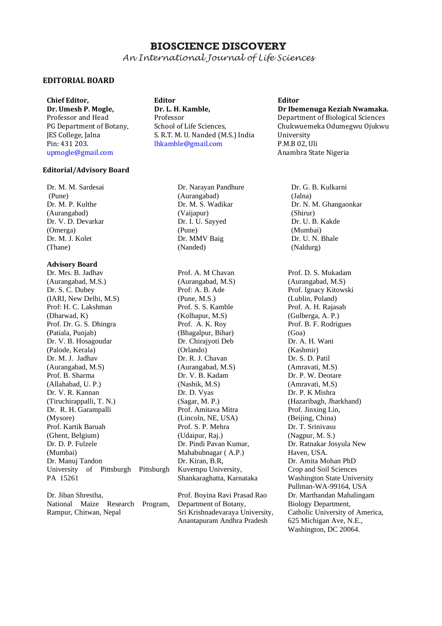# **BIOSCIENCE DISCOVERY**

*An International Journal of Life Sciences*

## **EDITORIAL BOARD**

**Chief Editor, Dr. Umesh P. Mogle,**  Professor and Head PG Department of Botany, JES College, Jalna Pin: 431 203. upmogle@gmail.com

### **Editorial/Advisory Board**

Dr. M. M. Sardesai (Pune) Dr. M. P. Kulthe (Aurangabad) Dr. V. D. Devarkar (Omerga) Dr. M. J. Kolet (Thane)

### **Advisory Board**

Dr. Mrs. B. Jadhav (Aurangabad, M.S.) Dr. S. C. Dubey (IARI, New Delhi, M.S) Prof: H. C. Lakshman (Dharwad, K) Prof. Dr. G. S. Dhingra (Patiala, Punjab) Dr. V. B. Hosagoudar (Palode, Kerala) Dr. M. J. Jadhav (Aurangabad, M.S) Prof. B. Sharma (Allahabad, U. P.) Dr. V. R. Kannan (Tiruchirappalli, T. N.) Dr. R. H. Garampalli (Mysore) Prof. Kartik Baruah (Ghent, Belgium) Dr. D. P. Fulzele (Mumbai) Dr. Manuj Tandon University of Pittsburgh Pittsburgh PA 15261

Dr. Jiban Shrestha National Maize Research Program, Rampur, Chitwan, Nepal

**Editor Dr. L. H. Kamble,** Professor School of Life Sciences, S. R.T. M. U. Nanded (M.S.) India lhkamble@gmail.com

**Editor**

**Dr Ibemenuga Keziah Nwamaka.** Department of Biological Sciences Chukwuemeka Odumegwu Ojukwu University P.M.B 02, Uli Anambra State Nigeria

Dr. Narayan Pandhure (Aurangabad) Dr. M. S. Wadikar (Vaijapur) Dr. I. U. Sayyed (Pune) Dr. MMV Baig (Nanded)

Prof. A. M Chavan (Aurangabad, M.S) Prof: A. B. Ade (Pune, M.S.) Prof. S. S. Kamble (Kolhapur, M.S) Prof. A. K. Roy (Bhagalpur, Bihar) Dr. Chirajyoti Deb (Orlando) Dr. R. J. Chavan (Aurangabad, M.S) Dr. V. B. Kadam (Nashik, M.S) Dr. D. Vyas (Sagar, M. P.) Prof. Amitava Mitra (Lincoln, NE, USA) Prof. S. P. Mehra (Udaipur, Raj.) Dr. Pindi Pavan Kumar, Mahabubnagar ( A.P.) Dr. Kiran, B.R, Kuvempu University, Shankaraghatta, Karnataka

Prof. Boyina Ravi Prasad Rao Department of Botany, Sri Krishnadevaraya University, Anantapuram Andhra Pradesh

Dr. G. B. Kulkarni (Jalna) Dr. N. M. Ghangaonkar (Shirur) Dr. U. B. Kakde (Mumbai) Dr. U. N. Bhale (Naldurg)

Prof. D. S. Mukadam (Aurangabad, M.S) Prof. Ignacy Kitowski (Lublin, Poland) Prof. A. H. Rajasab (Gulberga, A. P.) Prof. B. F. Rodrigues (Goa) Dr. A. H. Wani (Kashmir) Dr. S. D. Patil (Amravati, M.S) Dr. P. W. Deotare (Amravati, M.S) Dr. P. K Mishra (Hazaribagh, Jharkhand) Prof. Jinxing Lin, (Beijing, China) Dr. T. Srinivasu (Nagpur, M. S.) Dr. Ratnakar Josyula New Haven, USA. Dr. Amita Mohan PhD Crop and Soil Sciences Washington State University Pullman-WA-99164, USA Dr. Marthandan Mahalingam Biology Department, Catholic University of America, 625 Michigan Ave, N.E., Washington, DC 20064.